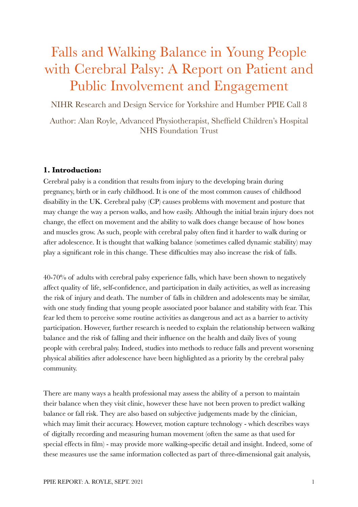# Falls and Walking Balance in Young People with Cerebral Palsy: A Report on Patient and Public Involvement and Engagement

NIHR Research and Design Service for Yorkshire and Humber PPIE Call 8

Author: Alan Royle, Advanced Physiotherapist, Sheffield Children's Hospital NHS Foundation Trust

# **1. Introduction:**

Cerebral palsy is a condition that results from injury to the developing brain during pregnancy, birth or in early childhood. It is one of the most common causes of childhood disability in the UK. Cerebral palsy (CP) causes problems with movement and posture that may change the way a person walks, and how easily. Although the initial brain injury does not change, the effect on movement and the ability to walk does change because of how bones and muscles grow. As such, people with cerebral palsy often find it harder to walk during or after adolescence. It is thought that walking balance (sometimes called dynamic stability) may play a significant role in this change. These difficulties may also increase the risk of falls.

40-70% of adults with cerebral palsy experience falls, which have been shown to negatively affect quality of life, self-confidence, and participation in daily activities, as well as increasing the risk of injury and death. The number of falls in children and adolescents may be similar, with one study finding that young people associated poor balance and stability with fear. This fear led them to perceive some routine activities as dangerous and act as a barrier to activity participation. However, further research is needed to explain the relationship between walking balance and the risk of falling and their influence on the health and daily lives of young people with cerebral palsy. Indeed, studies into methods to reduce falls and prevent worsening physical abilities after adolescence have been highlighted as a priority by the cerebral palsy community.

There are many ways a health professional may assess the ability of a person to maintain their balance when they visit clinic, however these have not been proven to predict walking balance or fall risk. They are also based on subjective judgements made by the clinician, which may limit their accuracy. However, motion capture technology - which describes ways of digitally recording and measuring human movement (often the same as that used for special effects in film) - may provide more walking-specific detail and insight. Indeed, some of these measures use the same information collected as part of three-dimensional gait analysis,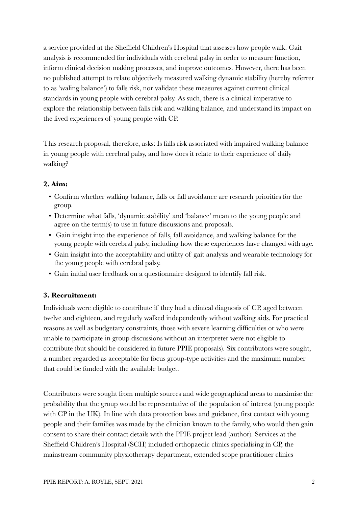a service provided at the Sheffield Children's Hospital that assesses how people walk. Gait analysis is recommended for individuals with cerebral palsy in order to measure function, inform clinical decision making processes, and improve outcomes. However, there has been no published attempt to relate objectively measured walking dynamic stability (hereby referrer to as 'waling balance') to falls risk, nor validate these measures against current clinical standards in young people with cerebral palsy. As such, there is a clinical imperative to explore the relationship between falls risk and walking balance, and understand its impact on the lived experiences of young people with CP.

This research proposal, therefore, asks: Is falls risk associated with impaired walking balance in young people with cerebral palsy, and how does it relate to their experience of daily walking?

# **2. Aim:**

- Confirm whether walking balance, falls or fall avoidance are research priorities for the group.
- Determine what falls, 'dynamic stability' and 'balance' mean to the young people and agree on the term(s) to use in future discussions and proposals.
- Gain insight into the experience of falls, fall avoidance, and walking balance for the young people with cerebral palsy, including how these experiences have changed with age.
- Gain insight into the acceptability and utility of gait analysis and wearable technology for the young people with cerebral palsy.
- Gain initial user feedback on a questionnaire designed to identify fall risk.

# **3. Recruitment:**

Individuals were eligible to contribute if they had a clinical diagnosis of CP, aged between twelve and eighteen, and regularly walked independently without walking aids. For practical reasons as well as budgetary constraints, those with severe learning difficulties or who were unable to participate in group discussions without an interpreter were not eligible to contribute (but should be considered in future PPIE proposals). Six contributors were sought, a number regarded as acceptable for focus group-type activities and the maximum number that could be funded with the available budget.

Contributors were sought from multiple sources and wide geographical areas to maximise the probability that the group would be representative of the population of interest (young people with CP in the UK). In line with data protection laws and guidance, first contact with young people and their families was made by the clinician known to the family, who would then gain consent to share their contact details with the PPIE project lead (author). Services at the Sheffield Children's Hospital (SCH) included orthopaedic clinics specialising in CP, the mainstream community physiotherapy department, extended scope practitioner clinics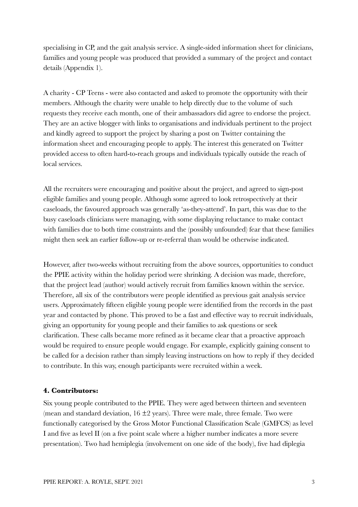specialising in CP, and the gait analysis service. A single-sided information sheet for clinicians, families and young people was produced that provided a summary of the project and contact details (Appendix 1).

A charity - CP Teens - were also contacted and asked to promote the opportunity with their members. Although the charity were unable to help directly due to the volume of such requests they receive each month, one of their ambassadors did agree to endorse the project. They are an active blogger with links to organisations and individuals pertinent to the project and kindly agreed to support the project by sharing a post on Twitter containing the information sheet and encouraging people to apply. The interest this generated on Twitter provided access to often hard-to-reach groups and individuals typically outside the reach of local services.

All the recruiters were encouraging and positive about the project, and agreed to sign-post eligible families and young people. Although some agreed to look retrospectively at their caseloads, the favoured approach was generally 'as-they-attend'. In part, this was due to the busy caseloads clinicians were managing, with some displaying reluctance to make contact with families due to both time constraints and the (possibly unfounded) fear that these families might then seek an earlier follow-up or re-referral than would be otherwise indicated.

However, after two-weeks without recruiting from the above sources, opportunities to conduct the PPIE activity within the holiday period were shrinking. A decision was made, therefore, that the project lead (author) would actively recruit from families known within the service. Therefore, all six of the contributors were people identified as previous gait analysis service users. Approximately fifteen eligible young people were identified from the records in the past year and contacted by phone. This proved to be a fast and effective way to recruit individuals, giving an opportunity for young people and their families to ask questions or seek clarification. These calls became more refined as it became clear that a proactive approach would be required to ensure people would engage. For example, explicitly gaining consent to be called for a decision rather than simply leaving instructions on how to reply if they decided to contribute. In this way, enough participants were recruited within a week.

# **4. Contributors:**

Six young people contributed to the PPIE. They were aged between thirteen and seventeen (mean and standard deviation,  $16 \pm 2$  years). Three were male, three female. Two were functionally categorised by the Gross Motor Functional Classification Scale (GMFCS) as level I and five as level II (on a five point scale where a higher number indicates a more severe presentation). Two had hemiplegia (involvement on one side of the body), five had diplegia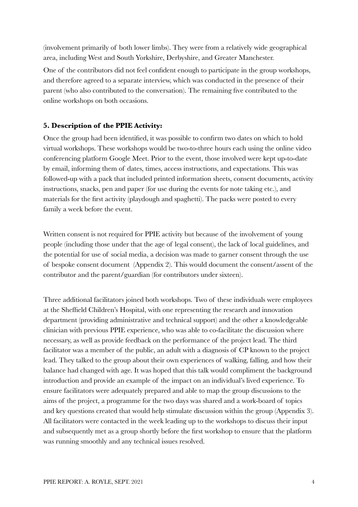(involvement primarily of both lower limbs). They were from a relatively wide geographical area, including West and South Yorkshire, Derbyshire, and Greater Manchester.

One of the contributors did not feel confident enough to participate in the group workshops, and therefore agreed to a separate interview, which was conducted in the presence of their parent (who also contributed to the conversation). The remaining five contributed to the online workshops on both occasions.

# **5. Description of the PPIE Activity:**

Once the group had been identified, it was possible to confirm two dates on which to hold virtual workshops. These workshops would be two-to-three hours each using the online video conferencing platform Google Meet. Prior to the event, those involved were kept up-to-date by email, informing them of dates, times, access instructions, and expectations. This was followed-up with a pack that included printed information sheets, consent documents, activity instructions, snacks, pen and paper (for use during the events for note taking etc.), and materials for the first activity (playdough and spaghetti). The packs were posted to every family a week before the event.

Written consent is not required for PPIE activity but because of the involvement of young people (including those under that the age of legal consent), the lack of local guidelines, and the potential for use of social media, a decision was made to garner consent through the use of bespoke consent document (Appendix 2). This would document the consent/assent of the contributor and the parent/guardian (for contributors under sixteen).

Three additional facilitators joined both workshops. Two of these individuals were employees at the Sheffield Children's Hospital, with one representing the research and innovation department (providing administrative and technical support) and the other a knowledgeable clinician with previous PPIE experience, who was able to co-facilitate the discussion where necessary, as well as provide feedback on the performance of the project lead. The third facilitator was a member of the public, an adult with a diagnosis of CP known to the project lead. They talked to the group about their own experiences of walking, falling, and how their balance had changed with age. It was hoped that this talk would compliment the background introduction and provide an example of the impact on an individual's lived experience. To ensure facilitators were adequately prepared and able to map the group discussions to the aims of the project, a programme for the two days was shared and a work-board of topics and key questions created that would help stimulate discussion within the group (Appendix 3). All facilitators were contacted in the week leading up to the workshops to discuss their input and subsequently met as a group shortly before the first workshop to ensure that the platform was running smoothly and any technical issues resolved.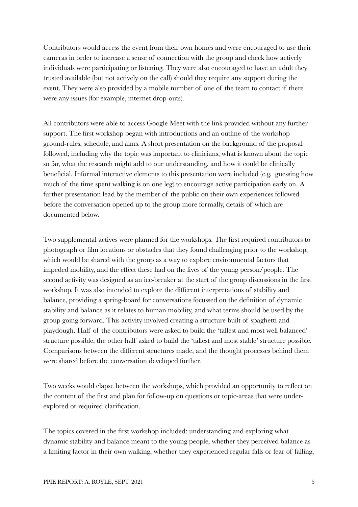Contributors would access the event from their own homes and were encouraged to use their cameras in order to increase a sense of connection with the group and check how actively individuals were participating or listening. They were also encouraged to have an adult they trusted available (but not actively on the call) should they require any support during the event. They were also provided by a mobile number of one of the team to contact if there were any issues (for example, internet drop-outs).

All contributors were able to access Google Meet with the link provided without any further support. The first workshop began with introductions and an outline of the workshop ground-rules, schedule, and aims. A short presentation on the background of the proposal followed, including why the topic was important to clinicians, what is known about the topic so far, what the research might add to our understanding, and how it could be clinically beneficial. Informal interactive elements to this presentation were included (e.g. guessing how much of the time spent walking is on one leg) to encourage active participation early on. A further presentation lead by the member of the public on their own experiences followed before the conversation opened up to the group more formally, details of which are documented below.

Two supplemental actives were planned for the workshops. The first required contributors to photograph or film locations or obstacles that they found challenging prior to the workshop, which would be shared with the group as a way to explore environmental factors that impeded mobility, and the effect these had on the lives of the young person/people. The second activity was designed as an ice-breaker at the start of the group discussions in the first workshop. It was also intended to explore the different interpretations of stability and balance, providing a spring-board for conversations focussed on the definition of dynamic stability and balance as it relates to human mobility, and what terms should be used by the group going forward. This activity involved creating a structure built of spaghetti and playdough. Half of the contributors were asked to build the 'tallest and most well balanced' structure possible, the other half asked to build the 'tallest and most stable' structure possible. Comparisons between the different structures made, and the thought processes behind them were shared before the conversation developed further.

Two weeks would elapse between the workshops, which provided an opportunity to reflect on the content of the first and plan for follow-up on questions or topic-areas that were underexplored or required clarification.

The topics covered in the first workshop included: understanding and exploring what dynamic stability and balance meant to the young people, whether they perceived balance as a limiting factor in their own walking, whether they experienced regular falls or fear of falling,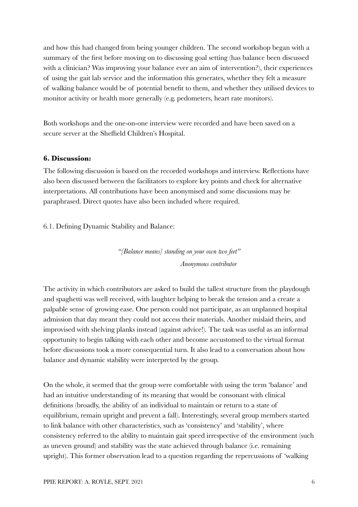and how this had changed from being younger children. The second workshop began with a summary of the first before moving on to discussing goal setting (has balance been discussed with a clinician? Was improving your balance ever an aim of intervention?), their experiences of using the gait lab service and the information this generates, whether they felt a measure of walking balance would be of potential benefit to them, and whether they utilised devices to monitor activity or health more generally (e.g. pedometers, heart rate monitors).

Both workshops and the one-on-one interview were recorded and have been saved on a secure server at the Sheffield Children's Hospital.

# **6. Discussion:**

The following discussion is based on the recorded workshops and interview. Reflections have also been discussed between the facilitators to explore key points and check for alternative interpretations. All contributions have been anonymised and some discussions may be paraphrased. Direct quotes have also been included where required.

6.1. Defining Dynamic Stability and Balance:

*"[Balance means] standing on your own two feet" Anonymous contributor*

The activity in which contributors are asked to build the tallest structure from the playdough and spaghetti was well received, with laughter helping to break the tension and a create a palpable sense of growing ease. One person could not participate, as an unplanned hospital admission that day meant they could not access their materials. Another mislaid theirs, and improvised with shelving planks instead (against advice!). The task was useful as an informal opportunity to begin talking with each other and become accustomed to the virtual format before discussions took a more consequential turn. It also lead to a conversation about how balance and dynamic stability were interpreted by the group.

On the whole, it seemed that the group were comfortable with using the term 'balance' and had an intuitive understanding of its meaning that would be consonant with clinical definitions (broadly, the ability of an individual to maintain or return to a state of equilibrium, remain upright and prevent a fall). Interestingly, several group members started to link balance with other characteristics, such as 'consistency' and 'stability', where consistency referred to the ability to maintain gait speed irrespective of the environment (such as uneven ground) and stability was the state achieved through balance (i.e. remaining upright). This former observation lead to a question regarding the repercussions of 'walking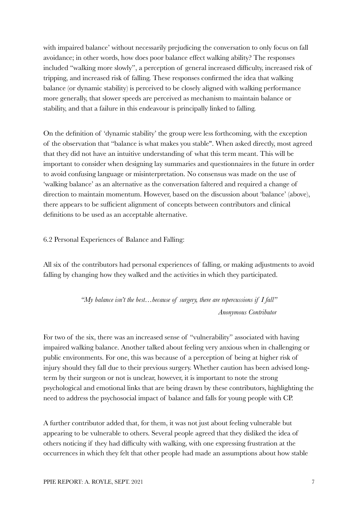with impaired balance' without necessarily prejudicing the conversation to only focus on fall avoidance; in other words, how does poor balance effect walking ability? The responses included "walking more slowly", a perception of general increased difficulty, increased risk of tripping, and increased risk of falling. These responses confirmed the idea that walking balance (or dynamic stability) is perceived to be closely aligned with walking performance more generally, that slower speeds are perceived as mechanism to maintain balance or stability, and that a failure in this endeavour is principally linked to falling.

On the definition of 'dynamic stability' the group were less forthcoming, with the exception of the observation that "balance is what makes you stable". When asked directly, most agreed that they did not have an intuitive understanding of what this term meant. This will be important to consider when designing lay summaries and questionnaires in the future in order to avoid confusing language or misinterpretation. No consensus was made on the use of 'walking balance' as an alternative as the conversation faltered and required a change of direction to maintain momentum. However, based on the discussion about 'balance' (above), there appears to be sufficient alignment of concepts between contributors and clinical definitions to be used as an acceptable alternative.

6.2 Personal Experiences of Balance and Falling:

All six of the contributors had personal experiences of falling, or making adjustments to avoid falling by changing how they walked and the activities in which they participated.

> *"My balance isn't the best…because of surgery, there are repercussions if I fall" Anonymous Contributor*

For two of the six, there was an increased sense of "vulnerability" associated with having impaired walking balance. Another talked about feeling very anxious when in challenging or public environments. For one, this was because of a perception of being at higher risk of injury should they fall due to their previous surgery. Whether caution has been advised longterm by their surgeon or not is unclear, however, it is important to note the strong psychological and emotional links that are being drawn by these contributors, highlighting the need to address the psychosocial impact of balance and falls for young people with CP.

A further contributor added that, for them, it was not just about feeling vulnerable but appearing to be vulnerable to others. Several people agreed that they disliked the idea of others noticing if they had difficulty with walking, with one expressing frustration at the occurrences in which they felt that other people had made an assumptions about how stable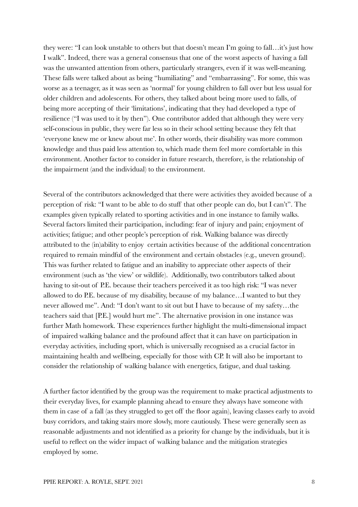they were: "I can look unstable to others but that doesn't mean I'm going to fall…it's just how I walk". Indeed, there was a general consensus that one of the worst aspects of having a fall was the unwanted attention from others, particularly strangers, even if it was well-meaning. These falls were talked about as being "humiliating" and "embarrassing". For some, this was worse as a teenager, as it was seen as 'normal' for young children to fall over but less usual for older children and adolescents. For others, they talked about being more used to falls, of being more accepting of their 'limitations', indicating that they had developed a type of resilience ("I was used to it by then"). One contributor added that although they were very self-conscious in public, they were far less so in their school setting because they felt that 'everyone knew me or knew about me'. In other words, their disability was more common knowledge and thus paid less attention to, which made them feel more comfortable in this environment. Another factor to consider in future research, therefore, is the relationship of the impairment (and the individual) to the environment.

Several of the contributors acknowledged that there were activities they avoided because of a perception of risk: "I want to be able to do stuff that other people can do, but I can't". The examples given typically related to sporting activities and in one instance to family walks. Several factors limited their participation, including: fear of injury and pain; enjoyment of activities; fatigue; and other people's perception of risk. Walking balance was directly attributed to the (in)ability to enjoy certain activities because of the additional concentration required to remain mindful of the environment and certain obstacles (e.g., uneven ground). This was further related to fatigue and an inability to appreciate other aspects of their environment (such as 'the view' or wildlife). Additionally, two contributors talked about having to sit-out of P.E. because their teachers perceived it as too high risk: "I was never allowed to do P.E. because of my disability, because of my balance…I wanted to but they never allowed me". And: "I don't want to sit out but I have to because of my safety…the teachers said that [P.E.] would hurt me". The alternative provision in one instance was further Math homework. These experiences further highlight the multi-dimensional impact of impaired walking balance and the profound affect that it can have on participation in everyday activities, including sport, which is universally recognised as a crucial factor in maintaining health and wellbeing, especially for those with CP. It will also be important to consider the relationship of walking balance with energetics, fatigue, and dual tasking.

A further factor identified by the group was the requirement to make practical adjustments to their everyday lives, for example planning ahead to ensure they always have someone with them in case of a fall (as they struggled to get off the floor again), leaving classes early to avoid busy corridors, and taking stairs more slowly, more cautiously. These were generally seen as reasonable adjustments and not identified as a priority for change by the individuals, but it is useful to reflect on the wider impact of walking balance and the mitigation strategies employed by some.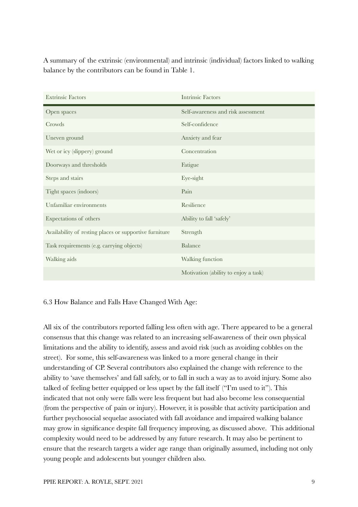A summary of the extrinsic (environmental) and intrinsic (individual) factors linked to walking balance by the contributors can be found in Table 1.

| <b>Extrinsic Factors</b>                               | <b>Intrinsic Factors</b>             |
|--------------------------------------------------------|--------------------------------------|
| Open spaces                                            | Self-awareness and risk assessment   |
| Crowds                                                 | Self-confidence                      |
| Uneven ground                                          | Anxiety and fear                     |
| Wet or icy (slippery) ground                           | Concentration                        |
| Doorways and thresholds                                | Fatigue                              |
| Steps and stairs                                       | Eye-sight                            |
| Tight spaces (indoors)                                 | Pain                                 |
| Unfamiliar environments                                | Resilience                           |
| Expectations of others                                 | Ability to fall 'safely'             |
| Availability of resting places or supportive furniture | Strength                             |
| Task requirements (e.g. carrying objects)              | Balance                              |
| Walking aids                                           | Walking function                     |
|                                                        | Motivation (ability to enjoy a task) |

# 6.3 How Balance and Falls Have Changed With Age:

All six of the contributors reported falling less often with age. There appeared to be a general consensus that this change was related to an increasing self-awareness of their own physical limitations and the ability to identify, assess and avoid risk (such as avoiding cobbles on the street). For some, this self-awareness was linked to a more general change in their understanding of CP. Several contributors also explained the change with reference to the ability to 'save themselves' and fall safely, or to fall in such a way as to avoid injury. Some also talked of feeling better equipped or less upset by the fall itself ("I'm used to it"). This indicated that not only were falls were less frequent but had also become less consequential (from the perspective of pain or injury). However, it is possible that activity participation and further psychosocial sequelae associated with fall avoidance and impaired walking balance may grow in significance despite fall frequency improving, as discussed above. This additional complexity would need to be addressed by any future research. It may also be pertinent to ensure that the research targets a wider age range than originally assumed, including not only young people and adolescents but younger children also.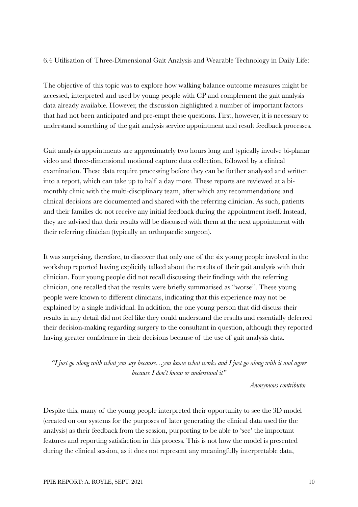# 6.4 Utilisation of Three-Dimensional Gait Analysis and Wearable Technology in Daily Life:

The objective of this topic was to explore how walking balance outcome measures might be accessed, interpreted and used by young people with CP and complement the gait analysis data already available. However, the discussion highlighted a number of important factors that had not been anticipated and pre-empt these questions. First, however, it is necessary to understand something of the gait analysis service appointment and result feedback processes.

Gait analysis appointments are approximately two hours long and typically involve bi-planar video and three-dimensional motional capture data collection, followed by a clinical examination. These data require processing before they can be further analysed and written into a report, which can take up to half a day more. These reports are reviewed at a bimonthly clinic with the multi-disciplinary team, after which any recommendations and clinical decisions are documented and shared with the referring clinician. As such, patients and their families do not receive any initial feedback during the appointment itself. Instead, they are advised that their results will be discussed with them at the next appointment with their referring clinician (typically an orthopaedic surgeon).

It was surprising, therefore, to discover that only one of the six young people involved in the workshop reported having explicitly talked about the results of their gait analysis with their clinician. Four young people did not recall discussing their findings with the referring clinician, one recalled that the results were briefly summarised as "worse". These young people were known to different clinicians, indicating that this experience may not be explained by a single individual. In addition, the one young person that did discuss their results in any detail did not feel like they could understand the results and essentially deferred their decision-making regarding surgery to the consultant in question, although they reported having greater confidence in their decisions because of the use of gait analysis data.

*"I just go along with what you say because…you know what works and I just go along with it and agree because I don't know or understand it"*

*Anonymous contributor*

Despite this, many of the young people interpreted their opportunity to see the 3D model (created on our systems for the purposes of later generating the clinical data used for the analysis) as their feedback from the session, purporting to be able to 'see' the important features and reporting satisfaction in this process. This is not how the model is presented during the clinical session, as it does not represent any meaningfully interpretable data,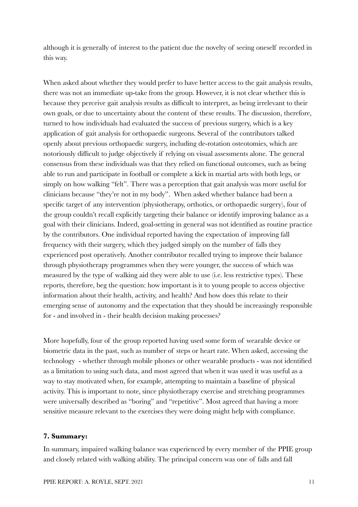although it is generally of interest to the patient due the novelty of seeing oneself recorded in this way.

When asked about whether they would prefer to have better access to the gait analysis results, there was not an immediate up-take from the group. However, it is not clear whether this is because they perceive gait analysis results as difficult to interpret, as being irrelevant to their own goals, or due to uncertainty about the content of these results. The discussion, therefore, turned to how individuals had evaluated the success of previous surgery, which is a key application of gait analysis for orthopaedic surgeons. Several of the contributors talked openly about previous orthopaedic surgery, including de-rotation osteotomies, which are notoriously difficult to judge objectively if relying on visual assessments alone. The general consensus from these individuals was that they relied on functional outcomes, such as being able to run and participate in football or complete a kick in martial arts with both legs, or simply on how walking "felt". There was a perception that gait analysis was more useful for clinicians because "they're not in my body". When asked whether balance had been a specific target of any intervention (physiotherapy, orthotics, or orthopaedic surgery), four of the group couldn't recall explicitly targeting their balance or identify improving balance as a goal with their clinicians. Indeed, goal-setting in general was not identified as routine practice by the contributors. One individual reported having the expectation of improving fall frequency with their surgery, which they judged simply on the number of falls they experienced post operatively. Another contributor recalled trying to improve their balance through physiotherapy programmes when they were younger, the success of which was measured by the type of walking aid they were able to use (i.e. less restrictive types). These reports, therefore, beg the question: how important is it to young people to access objective information about their health, activity, and health? And how does this relate to their emerging sense of autonomy and the expectation that they should be increasingly responsible for - and involved in - their health decision making processes?

More hopefully, four of the group reported having used some form of wearable device or biometric data in the past, such as number of steps or heart rate. When asked, accessing the technology - whether through mobile phones or other wearable products - was not identified as a limitation to using such data, and most agreed that when it was used it was useful as a way to stay motivated when, for example, attempting to maintain a baseline of physical activity. This is important to note, since physiotherapy exercise and stretching programmes were universally described as "boring" and "repetitive". Most agreed that having a more sensitive measure relevant to the exercises they were doing might help with compliance.

### **7. Summary:**

In summary, impaired walking balance was experienced by every member of the PPIE group and closely related with walking ability. The principal concern was one of falls and fall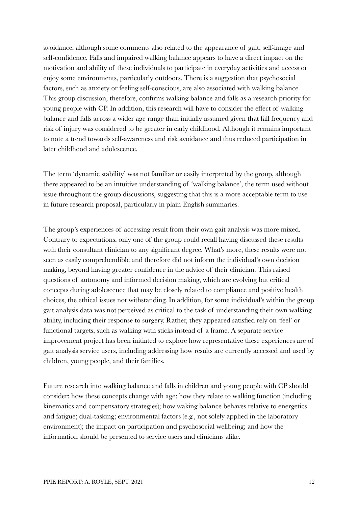avoidance, although some comments also related to the appearance of gait, self-image and self-confidence. Falls and impaired walking balance appears to have a direct impact on the motivation and ability of these individuals to participate in everyday activities and access or enjoy some environments, particularly outdoors. There is a suggestion that psychosocial factors, such as anxiety or feeling self-conscious, are also associated with walking balance. This group discussion, therefore, confirms walking balance and falls as a research priority for young people with CP. In addition, this research will have to consider the effect of walking balance and falls across a wider age range than initially assumed given that fall frequency and risk of injury was considered to be greater in early childhood. Although it remains important to note a trend towards self-awareness and risk avoidance and thus reduced participation in later childhood and adolescence.

The term 'dynamic stability' was not familiar or easily interpreted by the group, although there appeared to be an intuitive understanding of 'walking balance', the term used without issue throughout the group discussions, suggesting that this is a more acceptable term to use in future research proposal, particularly in plain English summaries.

The group's experiences of accessing result from their own gait analysis was more mixed. Contrary to expectations, only one of the group could recall having discussed these results with their consultant clinician to any significant degree. What's more, these results were not seen as easily comprehendible and therefore did not inform the individual's own decision making, beyond having greater confidence in the advice of their clinician. This raised questions of autonomy and informed decision making, which are evolving but critical concepts during adolescence that may be closely related to compliance and positive health choices, the ethical issues not withstanding. In addition, for some individual's within the group gait analysis data was not perceived as critical to the task of understanding their own walking ability, including their response to surgery. Rather, they appeared satisfied rely on 'feel' or functional targets, such as walking with sticks instead of a frame. A separate service improvement project has been initiated to explore how representative these experiences are of gait analysis service users, including addressing how results are currently accessed and used by children, young people, and their families.

Future research into walking balance and falls in children and young people with CP should consider: how these concepts change with age; how they relate to walking function (including kinematics and compensatory strategies); how waking balance behaves relative to energetics and fatigue; dual-tasking; environmental factors (e.g., not solely applied in the laboratory environment); the impact on participation and psychosocial wellbeing; and how the information should be presented to service users and clinicians alike.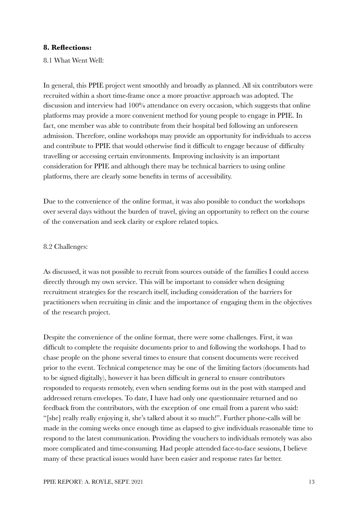# **8. Reflections:**

8.1 What Went Well:

In general, this PPIE project went smoothly and broadly as planned. All six contributors were recruited within a short time-frame once a more proactive approach was adopted. The discussion and interview had 100% attendance on every occasion, which suggests that online platforms may provide a more convenient method for young people to engage in PPIE. In fact, one member was able to contribute from their hospital bed following an unforeseen admission. Therefore, online workshops may provide an opportunity for individuals to access and contribute to PPIE that would otherwise find it difficult to engage because of difficulty travelling or accessing certain environments. Improving inclusivity is an important consideration for PPIE and although there may be technical barriers to using online platforms, there are clearly some benefits in terms of accessibility.

Due to the convenience of the online format, it was also possible to conduct the workshops over several days without the burden of travel, giving an opportunity to reflect on the course of the conversation and seek clarity or explore related topics.

# 8.2 Challenges:

As discussed, it was not possible to recruit from sources outside of the families I could access directly through my own service. This will be important to consider when designing recruitment strategies for the research itself, including consideration of the barriers for practitioners when recruiting in clinic and the importance of engaging them in the objectives of the research project.

Despite the convenience of the online format, there were some challenges. First, it was difficult to complete the requisite documents prior to and following the workshops. I had to chase people on the phone several times to ensure that consent documents were received prior to the event. Technical competence may be one of the limiting factors (documents had to be signed digitally), however it has been difficult in general to ensure contributors responded to requests remotely, even when sending forms out in the post with stamped and addressed return envelopes. To date, I have had only one questionnaire returned and no feedback from the contributors, with the exception of one email from a parent who said: "[she] really really enjoying it, she's talked about it so much!". Further phone-calls will be made in the coming weeks once enough time as elapsed to give individuals reasonable time to respond to the latest communication. Providing the vouchers to individuals remotely was also more complicated and time-consuming. Had people attended face-to-face sessions, I believe many of these practical issues would have been easier and response rates far better.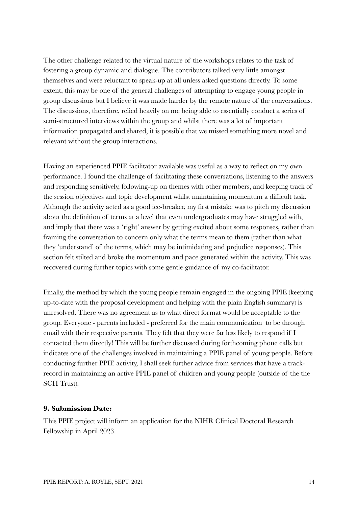The other challenge related to the virtual nature of the workshops relates to the task of fostering a group dynamic and dialogue. The contributors talked very little amongst themselves and were reluctant to speak-up at all unless asked questions directly. To some extent, this may be one of the general challenges of attempting to engage young people in group discussions but I believe it was made harder by the remote nature of the conversations. The discussions, therefore, relied heavily on me being able to essentially conduct a series of semi-structured interviews within the group and whilst there was a lot of important information propagated and shared, it is possible that we missed something more novel and relevant without the group interactions.

Having an experienced PPIE facilitator available was useful as a way to reflect on my own performance. I found the challenge of facilitating these conversations, listening to the answers and responding sensitively, following-up on themes with other members, and keeping track of the session objectives and topic development whilst maintaining momentum a difficult task. Although the activity acted as a good ice-breaker, my first mistake was to pitch my discussion about the definition of terms at a level that even undergraduates may have struggled with, and imply that there was a 'right' answer by getting excited about some responses, rather than framing the conversation to concern only what the terms mean to them (rather than what they 'understand' of the terms, which may be intimidating and prejudice responses). This section felt stilted and broke the momentum and pace generated within the activity. This was recovered during further topics with some gentle guidance of my co-facilitator.

Finally, the method by which the young people remain engaged in the ongoing PPIE (keeping up-to-date with the proposal development and helping with the plain English summary) is unresolved. There was no agreement as to what direct format would be acceptable to the group. Everyone - parents included - preferred for the main communication to be through email with their respective parents. They felt that they were far less likely to respond if I contacted them directly! This will be further discussed during forthcoming phone calls but indicates one of the challenges involved in maintaining a PPIE panel of young people. Before conducting further PPIE activity, I shall seek further advice from services that have a trackrecord in maintaining an active PPIE panel of children and young people (outside of the the SCH Trust).

# **9. Submission Date:**

This PPIE project will inform an application for the NIHR Clinical Doctoral Research Fellowship in April 2023.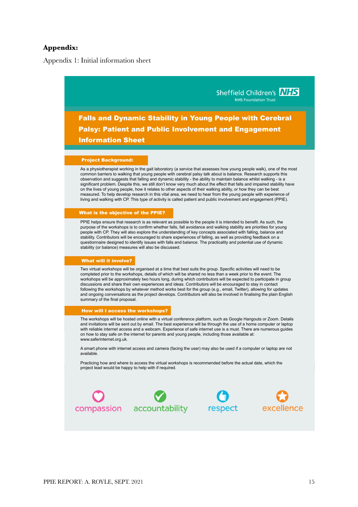# **Appendix:**

Appendix 1: Initial information sheet

Sheffield Children's NHS **NHS Foundation Trust** Falls and Dynamic Stability in Young People with Cerebral Palsy: Patient and Public Involvement and Engagement Information Sheet

#### Project Background:

As a physiotherapist working in the gait laboratory (a service that assesses how young people walk), one of the most common barriers to walking that young people with cerebral palsy talk about is balance. Research supports this observation and suggests that falling and dynamic stability - the ability to maintain balance whilst walking - is a significant problem. Despite this, we still don't know very much about the effect that falls and impaired stability have on the lives of young people, how it relates to other aspects of their walking ability, or how they can be best measured. To help develop research in this vital area, we need to hear from the young people with experience of living and walking with CP. This type of activity is called patient and public involvement and engagement (PPIE).

#### What is the objective of the PPIE?

PPIE helps ensure that research is as relevant as possible to the people it is intended to benefit. As such, the purpose of the workshops is to confirm whether falls, fall avoidance and walking stability are priorities for young people with CP. They will also explore the understanding of key concepts associated with falling, balance and stability. Contributors will be encouraged to share experiences of falling, as well as providing feedback on a questionnaire designed to identify issues with falls and balance. The practicality and potential use of dynamic stability (or balance) measures will also be discussed.

### What will it involve?

Two virtual workshops will be organised at a time that best suits the group. Specific activities will need to be completed prior to the workshops, details of which will be shared no less than a week prior to the event. The workshops will be approximately two hours long, during which contributors will be expected to participate in group discussions and share their own experiences and ideas. Contributors will be encouraged to stay in contact following the workshops by whatever method works best for the group (e.g., email, Twitter), allowing for updates and ongoing conversations as the project develops. Contributors will also be involved in finalising the plain English summary of the final proposal.

#### How will I access the workshops?

The workshops will be hosted online with a virtual conference platform, such as Google Hangouts or Zoom. Details and invitations will be sent out by email. The best experience will be through the use of a home computer or laptop with reliable internet access and a webcam. Experience of safe internet use is a must. There are numerous guides on how to stay safe on the internet for parents and young people, including those available at: www.saferinternet.org.uk.

A smart phone with internet access and camera (facing the user) may also be used if a computer or laptop are not available.

Practicing how and where to access the virtual workshops is recommended before the actual date, which the project lead would be happy to help with if required.

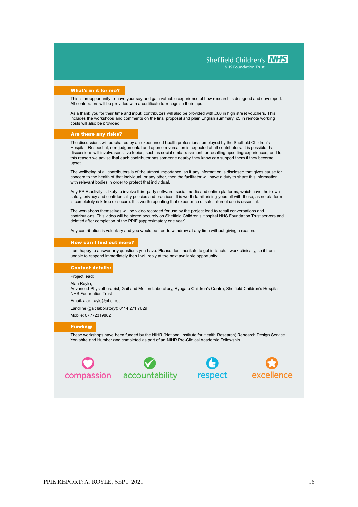Sheffield Children's MHS

**NHS Foundation Trust** 

#### What's in it for me?

This is an opportunity to have your say and gain valuable experience of how research is designed and developed. All contributors will be provided with a certificate to recognise their input.

As a thank you for their time and input, contributors will also be provided with £60 in high street vouchers. This includes the workshops and comments on the final proposal and plain English summary. £5 in remote working costs will also be provided.

#### Are there any risks?

The discussions will be chaired by an experienced health professional employed by the Sheffield Children's Hospital. Respectful, non-judgemental and open conversation is expected of all contributors. It is possible that discussions will involve sensitive topics, such as social embarrassment, or recalling upsetting experiences, and for this reason we advise that each contributor has someone nearby they know can support them if they become upset.

The wellbeing of all contributors is of the utmost importance, so if any information is disclosed that gives cause for concern to the health of that individual, or any other, then the facilitator will have a duty to share this information with relevant bodies in order to protect that individual.

Any PPIE activity is likely to involve third-party software, social media and online platforms, which have their own safety, privacy and confidentiality policies and practices. It is worth familiarising yourself with these, as no platform is completely risk-free or secure. It is worth repeating that experience of safe internet use is essential.

The workshops themselves will be video recorded for use by the project lead to recall conversations and contributions. This video will be stored securely on Sheffield Children's Hospital NHS Foundation Trust servers and deleted after completion of the PPIE (approximately one year).

Any contribution is voluntary and you would be free to withdraw at any time without giving a reason.

#### How can I find out more?

I am happy to answer any questions you have. Please don't hesitate to get in touch. I work clinically, so if I am unable to respond immediately then I will reply at the next available opportunity.

#### Contact details:

Project lead:

Alan Royle, Advanced Physiotherapist, Gait and Motion Laboratory, Ryegate Children's Centre, Sheffield Children's Hospital NHS Foundation Trust

Email: alan.royle@nhs.net

Landline (gait laboratory): 0114 271 7629

Mobile: 07772319882

#### Funding:

These workshops have been funded by the NIHR (National Institute for Health Research) Research Design Service Yorkshire and Humber and completed as part of an NIHR Pre-Clinical Academic Fellowship.







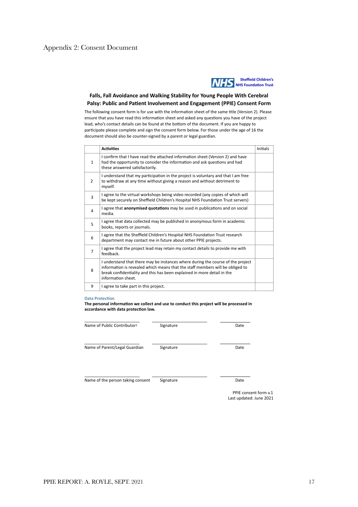

### **Falls, Fall Avoidance and Walking Stability for Young People With Cerebral**  Palsy: Public and Patient Involvement and Engagement (PPIE) Consent Form

The following consent form is for use with the information sheet of the same title (Version 2). Please ensure that you have read this information sheet and asked any questions you have of the project lead, who's contact details can be found at the bottom of the document. If you are happy to participate please complete and sign the consent form below. For those under the age of 16 the document should also be counter-signed by a parent or legal guardian.

|                | <b>Activities</b>                                                                                                                                                                                                                                                 | Initials |
|----------------|-------------------------------------------------------------------------------------------------------------------------------------------------------------------------------------------------------------------------------------------------------------------|----------|
| $\mathbf{1}$   | I confirm that I have read the attached information sheet (Version 2) and have<br>had the opportunity to consider the information and ask questions and had<br>these answered satisfactorily.                                                                     |          |
| 2              | I understand that my participation in the project is voluntary and that I am free<br>to withdraw at any time without giving a reason and without detriment to<br>myself.                                                                                          |          |
| 3              | I agree to the virtual workshops being video recorded (any copies of which will<br>be kept securely on Sheffield Children's Hospital NHS Foundation Trust servers)                                                                                                |          |
| 4              | I agree that anonymised quotations may be used in publications and on social<br>media.                                                                                                                                                                            |          |
| 5              | I agree that data collected may be published in anonymous form in academic<br>books, reports or journals.                                                                                                                                                         |          |
| 6              | I agree that the Sheffield Children's Hospital NHS Foundation Trust research<br>department may contact me in future about other PPIE projects.                                                                                                                    |          |
| $\overline{7}$ | I agree that the project lead may retain my contact details to provide me with<br>feedback.                                                                                                                                                                       |          |
| 8              | I understand that there may be instances where during the course of the project<br>information is revealed which means that the staff members will be obliged to<br>break confidentiality and this has been explained in more detail in the<br>information sheet. |          |
| 9              | I agree to take part in this project.                                                                                                                                                                                                                             |          |

#### **Data Protection**

The personal information we collect and use to conduct this project will be processed in accordance with data protection law.

| Name of Public Contributor1       | Signature | Date |
|-----------------------------------|-----------|------|
| Name of Parent/Legal Guardian     | Signature | Date |
| Name of the person taking consent | Signature | Date |

PPIE consent form v.1 Last updated: June 2021